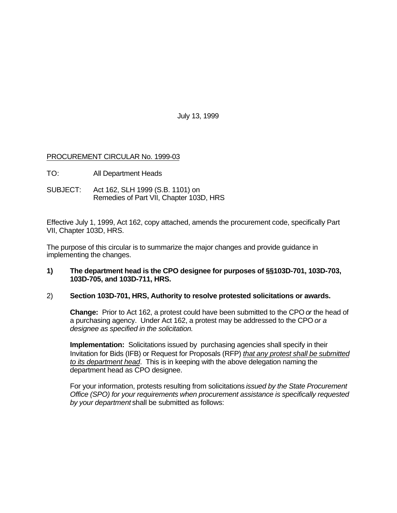July 13, 1999

# PROCUREMENT CIRCULAR No. 1999-03

- TO: All Department Heads
- SUBJECT: Act 162, SLH 1999 (S.B. 1101) on Remedies of Part VII, Chapter 103D, HRS

Effective July 1, 1999, Act 162, copy attached, amends the procurement code, specifically Part VII, Chapter 103D, HRS.

The purpose of this circular is to summarize the major changes and provide guidance in implementing the changes.

# **1) The department head is the CPO designee for purposes of §§103D-701, 103D-703, 103D-705, and 103D-711, HRS.**

# 2) **Section 103D-701, HRS, Authority to resolve protested solicitations or awards.**

**Change:** Prior to Act 162, a protest could have been submitted to the CPO *or* the head of a purchasing agency. Under Act 162, a protest may be addressed to the CPO *or a designee as specified in the solicitation.*

**Implementation:** Solicitations issued by purchasing agencies shall specify in their Invitation for Bids (IFB) or Request for Proposals (RFP) *that any protest shall be submitted to its department head*. This is in keeping with the above delegation naming the department head as CPO designee.

For your information, protests resulting from solicitations *issued by the State Procurement Office (SPO) for your requirements when procurement assistance is specifically requested by your department* shall be submitted as follows: